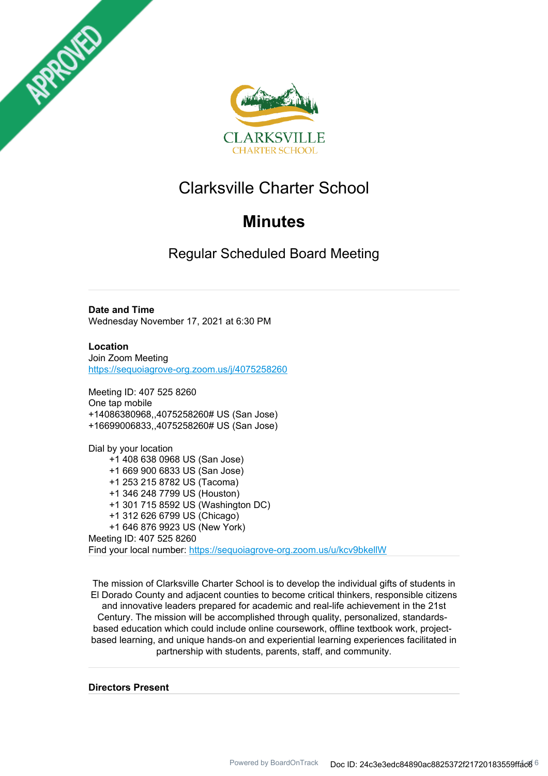



# Clarksville Charter School

# **Minutes**

Regular Scheduled Board Meeting

## **Date and Time**

Wednesday November 17, 2021 at 6:30 PM

**Location** Join Zoom Meeting

https://sequoiagrove-org.zoom.us/j/4075258260

Meeting ID: 407 525 8260 One tap mobile +14086380968,,4075258260# US (San Jose) +16699006833,,4075258260# US (San Jose)

Dial by your location +1 408 638 0968 US (San Jose) +1 669 900 6833 US (San Jose) +1 253 215 8782 US (Tacoma) +1 346 248 7799 US (Houston) +1 301 715 8592 US (Washington DC) +1 312 626 6799 US (Chicago) +1 646 876 9923 US (New York) Meeting ID: 407 525 8260 Find your local number: https://sequoiagrove-org.zoom.us/u/kcv9bkellW

The mission of Clarksville Charter School is to develop the individual gifts of students in El Dorado County and adjacent counties to become critical thinkers, responsible citizens and innovative leaders prepared for academic and real-life achievement in the 21st Century. The mission will be accomplished through quality, personalized, standardsbased education which could include online coursework, offline textbook work, projectbased learning, and unique hands‐on and experiential learning experiences facilitated in partnership with students, parents, staff, and community.

**Directors Present**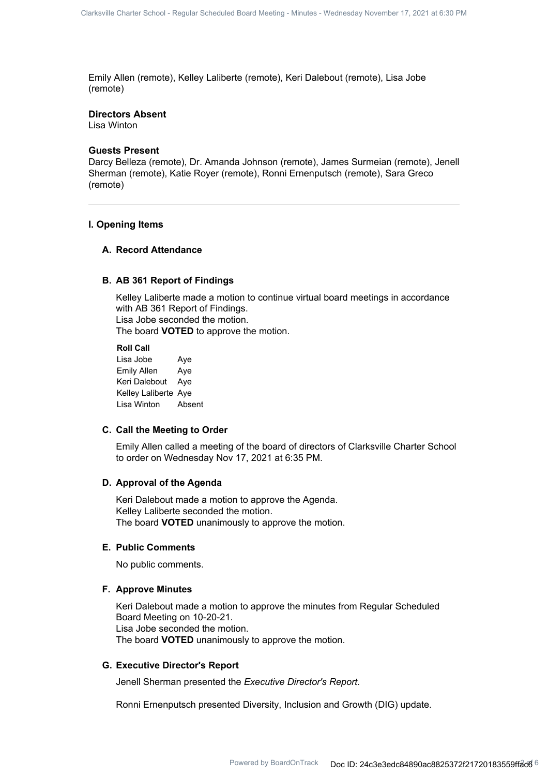Emily Allen (remote), Kelley Laliberte (remote), Keri Dalebout (remote), Lisa Jobe (remote)

#### **Directors Absent**

Lisa Winton

#### **Guests Present**

Darcy Belleza (remote), Dr. Amanda Johnson (remote), James Surmeian (remote), Jenell Sherman (remote), Katie Royer (remote), Ronni Ernenputsch (remote), Sara Greco (remote)

#### **I. Opening Items**

## **A. Record Attendance**

#### **B. AB 361 Report of Findings**

Kelley Laliberte made a motion to continue virtual board meetings in accordance with AB 361 Report of Findings. Lisa Jobe seconded the motion.

The board **VOTED** to approve the motion.

**Roll Call** Lisa Jobe Aye Emily Allen Aye Keri Dalebout Aye Kelley Laliberte Aye Lisa Winton Absent

#### **C. Call the Meeting to Order**

Emily Allen called a meeting of the board of directors of Clarksville Charter School to order on Wednesday Nov 17, 2021 at 6:35 PM.

#### **D. Approval of the Agenda**

Keri Dalebout made a motion to approve the Agenda. Kelley Laliberte seconded the motion. The board **VOTED** unanimously to approve the motion.

#### **E. Public Comments**

No public comments.

#### **F. Approve Minutes**

Keri Dalebout made a motion to approve the minutes from Regular Scheduled Board Meeting on 10-20-21. Lisa Jobe seconded the motion. The board **VOTED** unanimously to approve the motion.

#### **G. Executive Director's Report**

Jenell Sherman presented the *Executive Director's Report.*

Ronni Ernenputsch presented Diversity, Inclusion and Growth (DIG) update.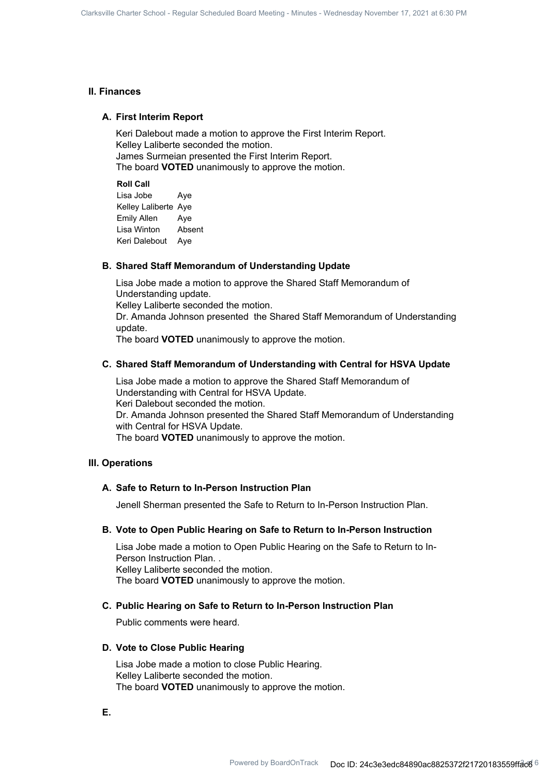### **II. Finances**

#### **A. First Interim Report**

Keri Dalebout made a motion to approve the First Interim Report. Kelley Laliberte seconded the motion. James Surmeian presented the First Interim Report. The board **VOTED** unanimously to approve the motion.

#### **Roll Call**

Lisa Jobe Aye Kelley Laliberte Aye Emily Allen Aye Lisa Winton Absent Keri Dalebout Aye

#### **B. Shared Staff Memorandum of Understanding Update**

Lisa Jobe made a motion to approve the Shared Staff Memorandum of Understanding update. Kelley Laliberte seconded the motion. Dr. Amanda Johnson presented the Shared Staff Memorandum of Understanding update. The board **VOTED** unanimously to approve the motion.

#### **C. Shared Staff Memorandum of Understanding with Central for HSVA Update**

Lisa Jobe made a motion to approve the Shared Staff Memorandum of Understanding with Central for HSVA Update. Keri Dalebout seconded the motion. Dr. Amanda Johnson presented the Shared Staff Memorandum of Understanding with Central for HSVA Update. The board **VOTED** unanimously to approve the motion.

### **III. Operations**

### **A. Safe to Return to In-Person Instruction Plan**

Jenell Sherman presented the Safe to Return to In-Person Instruction Plan.

#### **B. Vote to Open Public Hearing on Safe to Return to In-Person Instruction**

Lisa Jobe made a motion to Open Public Hearing on the Safe to Return to In-Person Instruction Plan. . Kelley Laliberte seconded the motion.

The board **VOTED** unanimously to approve the motion.

### **C. Public Hearing on Safe to Return to In-Person Instruction Plan**

Public comments were heard.

#### **D. Vote to Close Public Hearing**

Lisa Jobe made a motion to close Public Hearing. Kelley Laliberte seconded the motion. The board **VOTED** unanimously to approve the motion.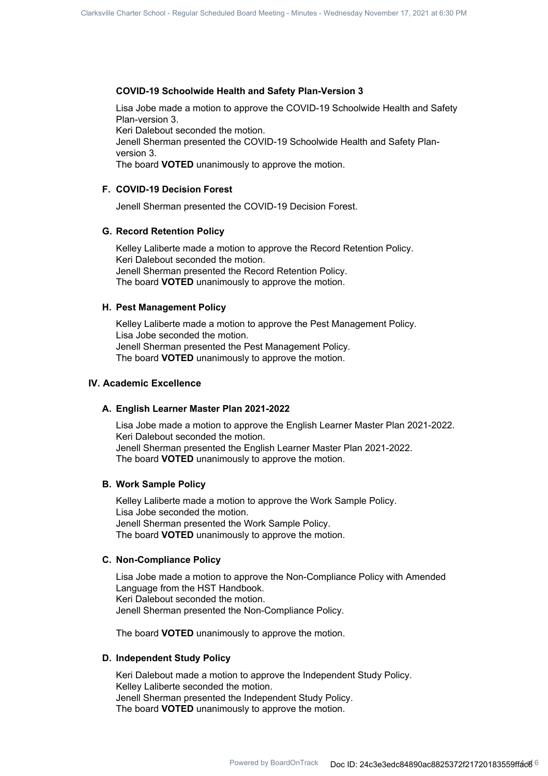#### **COVID-19 Schoolwide Health and Safety Plan-Version 3**

Lisa Jobe made a motion to approve the COVID-19 Schoolwide Health and Safety Plan-version 3.

Keri Dalebout seconded the motion.

Jenell Sherman presented the COVID-19 Schoolwide Health and Safety Planversion 3.

The board **VOTED** unanimously to approve the motion.

## **F. COVID-19 Decision Forest**

Jenell Sherman presented the COVID-19 Decision Forest.

#### **G. Record Retention Policy**

Kelley Laliberte made a motion to approve the Record Retention Policy. Keri Dalebout seconded the motion. Jenell Sherman presented the Record Retention Policy. The board **VOTED** unanimously to approve the motion.

## **H. Pest Management Policy**

Kelley Laliberte made a motion to approve the Pest Management Policy. Lisa Jobe seconded the motion. Jenell Sherman presented the Pest Management Policy. The board **VOTED** unanimously to approve the motion.

## **IV. Academic Excellence**

#### **A. English Learner Master Plan 2021-2022**

Lisa Jobe made a motion to approve the English Learner Master Plan 2021-2022. Keri Dalebout seconded the motion. Jenell Sherman presented the English Learner Master Plan 2021-2022. The board **VOTED** unanimously to approve the motion.

#### **B. Work Sample Policy**

Kelley Laliberte made a motion to approve the Work Sample Policy. Lisa Jobe seconded the motion. Jenell Sherman presented the Work Sample Policy. The board **VOTED** unanimously to approve the motion.

#### **C. Non-Compliance Policy**

Lisa Jobe made a motion to approve the Non-Compliance Policy with Amended Language from the HST Handbook. Keri Dalebout seconded the motion. Jenell Sherman presented the Non-Compliance Policy.

The board **VOTED** unanimously to approve the motion.

#### **D. Independent Study Policy**

Keri Dalebout made a motion to approve the Independent Study Policy. Kelley Laliberte seconded the motion. Jenell Sherman presented the Independent Study Policy. The board **VOTED** unanimously to approve the motion.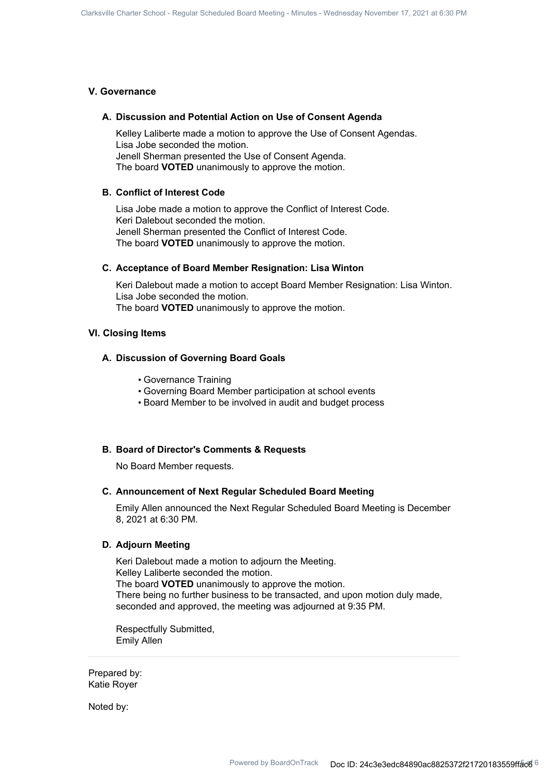## **V. Governance**

#### **A. Discussion and Potential Action on Use of Consent Agenda**

Kelley Laliberte made a motion to approve the Use of Consent Agendas. Lisa Jobe seconded the motion. Jenell Sherman presented the Use of Consent Agenda. The board **VOTED** unanimously to approve the motion.

## **B. Conflict of Interest Code**

Lisa Jobe made a motion to approve the Conflict of Interest Code. Keri Dalebout seconded the motion. Jenell Sherman presented the Conflict of Interest Code. The board **VOTED** unanimously to approve the motion.

#### **C. Acceptance of Board Member Resignation: Lisa Winton**

Keri Dalebout made a motion to accept Board Member Resignation: Lisa Winton. Lisa Jobe seconded the motion. The board **VOTED** unanimously to approve the motion.

#### **VI. Closing Items**

## **A. Discussion of Governing Board Goals**

- Governance Training
- Governing Board Member participation at school events
- Board Member to be involved in audit and budget process

#### **B. Board of Director's Comments & Requests**

No Board Member requests.

#### **C. Announcement of Next Regular Scheduled Board Meeting**

Emily Allen announced the Next Regular Scheduled Board Meeting is December 8, 2021 at 6:30 PM.

## **D. Adjourn Meeting**

Keri Dalebout made a motion to adjourn the Meeting. Kelley Laliberte seconded the motion. The board **VOTED** unanimously to approve the motion. There being no further business to be transacted, and upon motion duly made, seconded and approved, the meeting was adjourned at 9:35 PM.

Respectfully Submitted, Emily Allen

Prepared by: Katie Royer

Noted by: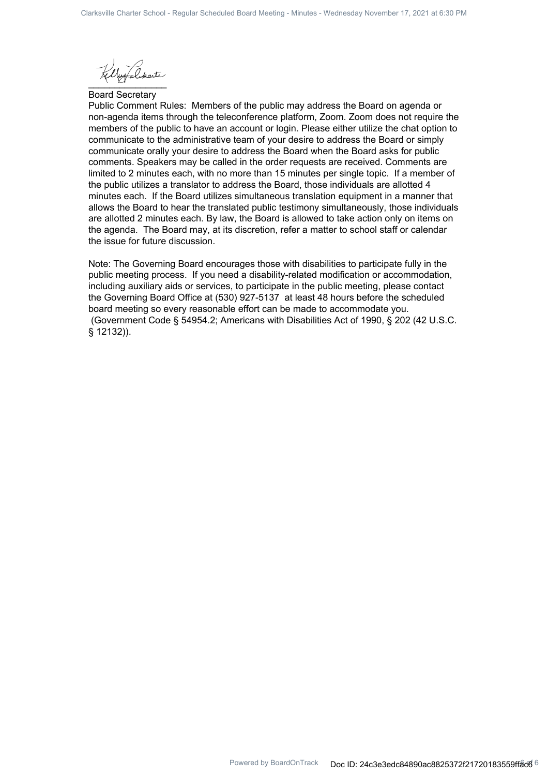$\frac{1}{2}$ 

Board Secretary

Public Comment Rules: Members of the public may address the Board on agenda or non-agenda items through the teleconference platform, Zoom. Zoom does not require the members of the public to have an account or login. Please either utilize the chat option to communicate to the administrative team of your desire to address the Board or simply communicate orally your desire to address the Board when the Board asks for public comments. Speakers may be called in the order requests are received. Comments are limited to 2 minutes each, with no more than 15 minutes per single topic. If a member of the public utilizes a translator to address the Board, those individuals are allotted 4 minutes each. If the Board utilizes simultaneous translation equipment in a manner that allows the Board to hear the translated public testimony simultaneously, those individuals are allotted 2 minutes each. By law, the Board is allowed to take action only on items on the agenda. The Board may, at its discretion, refer a matter to school staff or calendar the issue for future discussion.

Note: The Governing Board encourages those with disabilities to participate fully in the public meeting process. If you need a disability-related modification or accommodation, including auxiliary aids or services, to participate in the public meeting, please contact the Governing Board Office at (530) 927-5137 at least 48 hours before the scheduled board meeting so every reasonable effort can be made to accommodate you. (Government Code § 54954.2; Americans with Disabilities Act of 1990, § 202 (42 U.S.C. § 12132)).